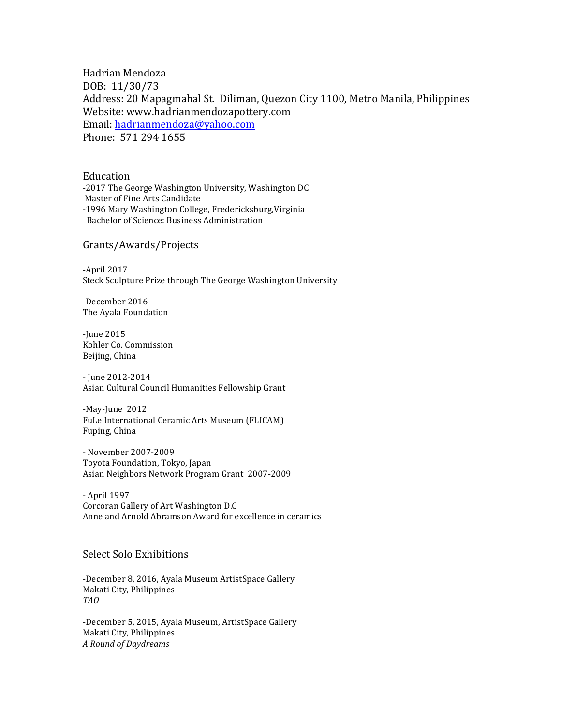Hadrian Mendoza DOB: 11/30/73 Address: 20 Mapagmahal St. Diliman, Quezon City 1100, Metro Manila, Philippines Website: www.hadrianmendozapottery.com Email: hadrianmendoza@yahoo.com Phone: 571 294 1655

Education -2017 The George Washington University, Washington DC Master of Fine Arts Candidate -1996 Mary Washington College, Fredericksburg, Virginia Bachelor of Science: Business Administration

Grants/Awards/Projects

 $-April 2017$ Steck Sculpture Prize through The George Washington University

-December 2016 The Ayala Foundation

-June 2015 Kohler Co. Commission Beijing, China

- June 2012-2014 Asian Cultural Council Humanities Fellowship Grant

-May-June 2012 FuLe International Ceramic Arts Museum (FLICAM) Fuping, China

- November 2007-2009 Toyota Foundation, Tokyo, Japan Asian Neighbors Network Program Grant 2007-2009

- April 1997 Corcoran Gallery of Art Washington D.C Anne and Arnold Abramson Award for excellence in ceramics

## Select Solo Exhibitions

-December 8, 2016, Ayala Museum ArtistSpace Gallery Makati City, Philippines *TAO*

-December 5, 2015, Ayala Museum, ArtistSpace Gallery Makati City, Philippines *A Round of Daydreams*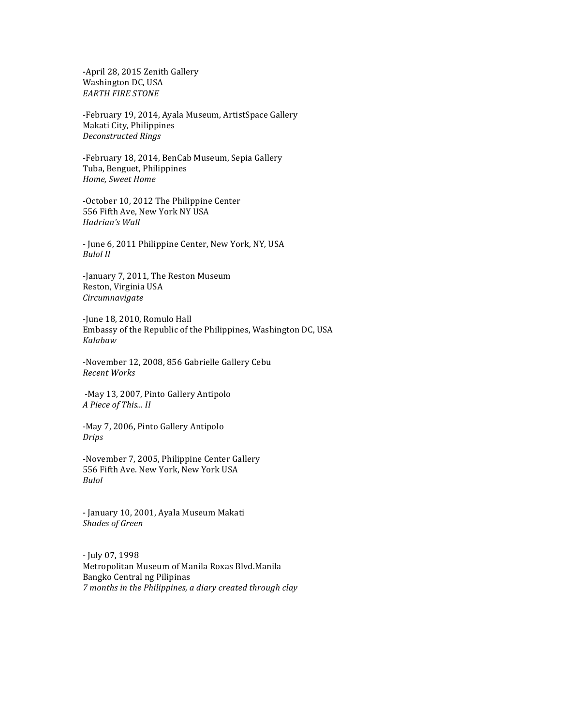-April 28, 2015 Zenith Gallery Washington DC, USA **EARTH FIRE STONE** 

-February 19, 2014, Ayala Museum, ArtistSpace Gallery Makati City, Philippines *Deconstructed Rings*

-February 18, 2014, BenCab Museum, Sepia Gallery Tuba, Benguet, Philippines *Home, Sweet Home*

-October 10, 2012 The Philippine Center 556 Fifth Ave, New York NY USA *Hadrian's Wall*

- June 6, 2011 Philippine Center, New York, NY, USA *Bulol II*

-January 7, 2011, The Reston Museum Reston, Virginia USA *Circumnavigate*

-June 18, 2010, Romulo Hall Embassy of the Republic of the Philippines, Washington DC, USA *Kalabaw*

-November 12, 2008, 856 Gabrielle Gallery Cebu *Recent Works*

-May 13, 2007, Pinto Gallery Antipolo *A Piece of This... II*

-May 7, 2006, Pinto Gallery Antipolo *Drips*

-November 7, 2005, Philippine Center Gallery 556 Fifth Ave. New York, New York USA *Bulol*

- January 10, 2001, Ayala Museum Makati *Shades of Green*

- July 07, 1998 Metropolitan Museum of Manila Roxas Blvd.Manila Bangko Central ng Pilipinas *7* months in the Philippines, a diary created through clay